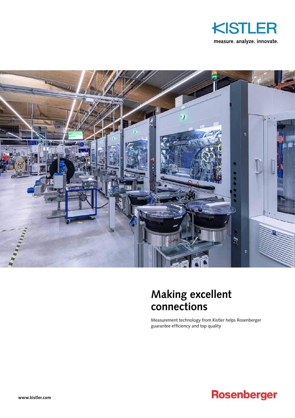



## **Making excellent connections**

Measurement technology from Kistler helps Rosenberger guarantee efficiency and top quality

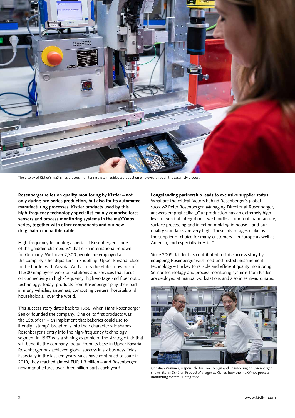

The display of Kistler's maXYmos process monitoring system guides a production employee through the assembly process.

**Rosenberger relies on quality monitoring by Kistler – not only during pre-series production, but also for its automated manufacturing processes. Kistler products used by this high-frequency technology specialist mainly comprise force sensors and process monitoring systems in the maXYmos series, together with other components and our new dragchain-compatible cable.**

High-frequency technology specialist Rosenberger is one of the "hidden champions" that earn international renown for Germany. Well over 2,300 people are employed at the company's headquarters in Fridolfing, Upper Bavaria, close to the border with Austria. And across the globe, upwards of 11,300 employees work on solutions and services that focus on connectivity in high-frequency, high-voltage and fiber optic technology. Today, products from Rosenberger play their part in many vehicles, antennas, computing centers, hospitals and households all over the world.

This success story dates back to 1958, when Hans Rosenberger Senior founded the company. One of its first products was the "Stüpfler" – an implement that bakeries could use to literally "stamp" bread rolls into their characteristic shapes. Rosenberger's entry into the high-frequency technology segment in 1967 was a shining example of the strategic flair that still benefits the company today. From its base in Upper Bavaria, Rosenberger has achieved global success in six business fields. Especially in the last ten years, sales have continued to soar: in 2019, they reached almost EUR 1.3 billion – and Rosenberger now manufactures over three billion parts each year!

**Longstanding partnership leads to exclusive supplier status** What are the critical factors behind Rosenberger's global success? Peter Rosenberger, Managing Director at Rosenberger, answers emphatically: "Our production has an extremely high level of vertical integration – we handle all our tool manufacture, surface processing and injection molding in house – and our quality standards are very high. These advantages make us the supplier of choice for many customers – in Europe as well as America, and especially in Asia."

Since 2005, Kistler has contributed to this success story by equipping Rosenberger with tried-and-tested measurement technology – the key to reliable and efficient quality monitoring. Sensor technology and process monitoring systems from Kistler are deployed at manual workstations and also in semi-automated



Christian Wimmer, responsible for Tool Design and Engineering at Rosenberger, shows Stefan Schäfer, Product Manager at Kistler, how the maXYmos process monitoring system is integrated.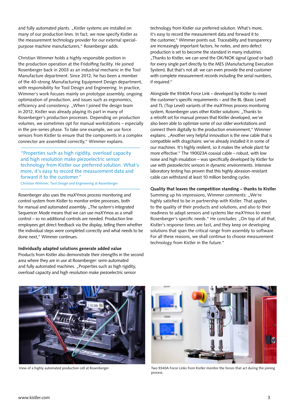and fully automated plants. "Kistler systems are installed on many of our production lines. In fact, we now specify Kistler as the measurement technology provider for our external specialpurpose machine manufacturers," Rosenberger adds.

Christian Wimmer holds a highly responsible position in the production operation at the Fridolfing facility. He joined Rosenberger back in 2003 as an industrial mechanic in the Tool Manufacture department. Since 2012, he has been a member of the 40-strong Manufacturing Equipment Design department, with responsibility for Tool Design and Engineering. In practice, Wimmer's work focuses mainly on prototype assembly, ongoing optimization of production, and issues such as ergonomics, efficiency and consistency. "When I joined the design team in 2012, Kistler was already playing its part in many of Rosenberger's production processes. Depending on production volumes, we sometimes opt for manual workstations – especially in the pre-series phase. To take one example, we use force sensors from Kistler to ensure that the components in a complex connector are assembled correctly," Wimmer explains.

"Properties such as high rigidity, overload capacity and high resolution make piezoelectric sensor technology from Kistler our preferred solution. What's more, it's easy to record the measurement data and forward it to the customer."

Christian Wimmer, Tool Design and Engineering at Rosenberger

Rosenberger also uses the maXYmos process monitoring and control system from Kistler to monitor entire processes, both for manual and automated assembly. "The system's integrated Sequencer Mode means that we can use maXYmos as a small control – so no additional controls are needed. Production line employees get direct feedback via the display, telling them whether the individual steps were completed correctly and what needs to be done next," Wimmer continues.

## **Individually adapted solutions generate added value**

Products from Kistler also demonstrate their strengths in the second area where they are in use at Rosenberger: semi-automated and fully automated machines. "Properties such as high rigidity, overload capacity and high resolution make piezoelectric sensor

technology from Kistler our preferred solution. What's more, it's easy to record the measurement data and forward it to the customer," Wimmer points out. Traceability and transparency are increasingly important factors, he notes, and zero defect production is set to become the standard in many industries. "Thanks to Kistler, we can send the OK/NOK signal (good or bad) for every single part directly to the MES (Manufacturing Execution System). But that's not all: we can even provide the end customer with complete measurement records including the serial numbers, if required."

Alongside the 9340A Force Link – developed by Kistler to meet the customer's specific requirements – and the BL (Basic Level) and TL (Top Level) variants of the maXYmos process monitoring system, Rosenberger uses other Kistler solutions: "Thanks to a retrofit set for manual presses that Kistler developed, we've also been able to optimize some of our older workstations and connect them digitally to the production environment," Wimmer explains. "Another very helpful innovation is the new cable that is compatible with dragchains: we've already installed it in some of our machines. It's highly resilient, so it makes the whole plant far more effective." The 190023A coaxial cable – robust, with low noise and high insulation – was specifically developed by Kistler for use with piezoelectric sensors in dynamic environments. Intensive laboratory testing has proven that this highly abrasion-resistant cable can withstand at least 10 million bending cycles.

## **Quality that leaves the competition standing – thanks to Kistler**

Summing up his impressions, Wimmer comments: "We're highly satisfied to be in partnership with Kistler. That applies to the quality of their products and solutions, and also to their readiness to adapt sensors and systems like maXYmos to meet Rosenberger's specific needs." He concludes: "On top of all that, Kistler's response times are fast, and they keep on developing solutions that span the critical range from assembly to software. For all these reasons, we shall continue to choose measurement technology from Kistler in the future."



View of a highly automated production cell at Rosenberger



Two 9340A Force Links from Kistler monitor the forces that act during the joining process.